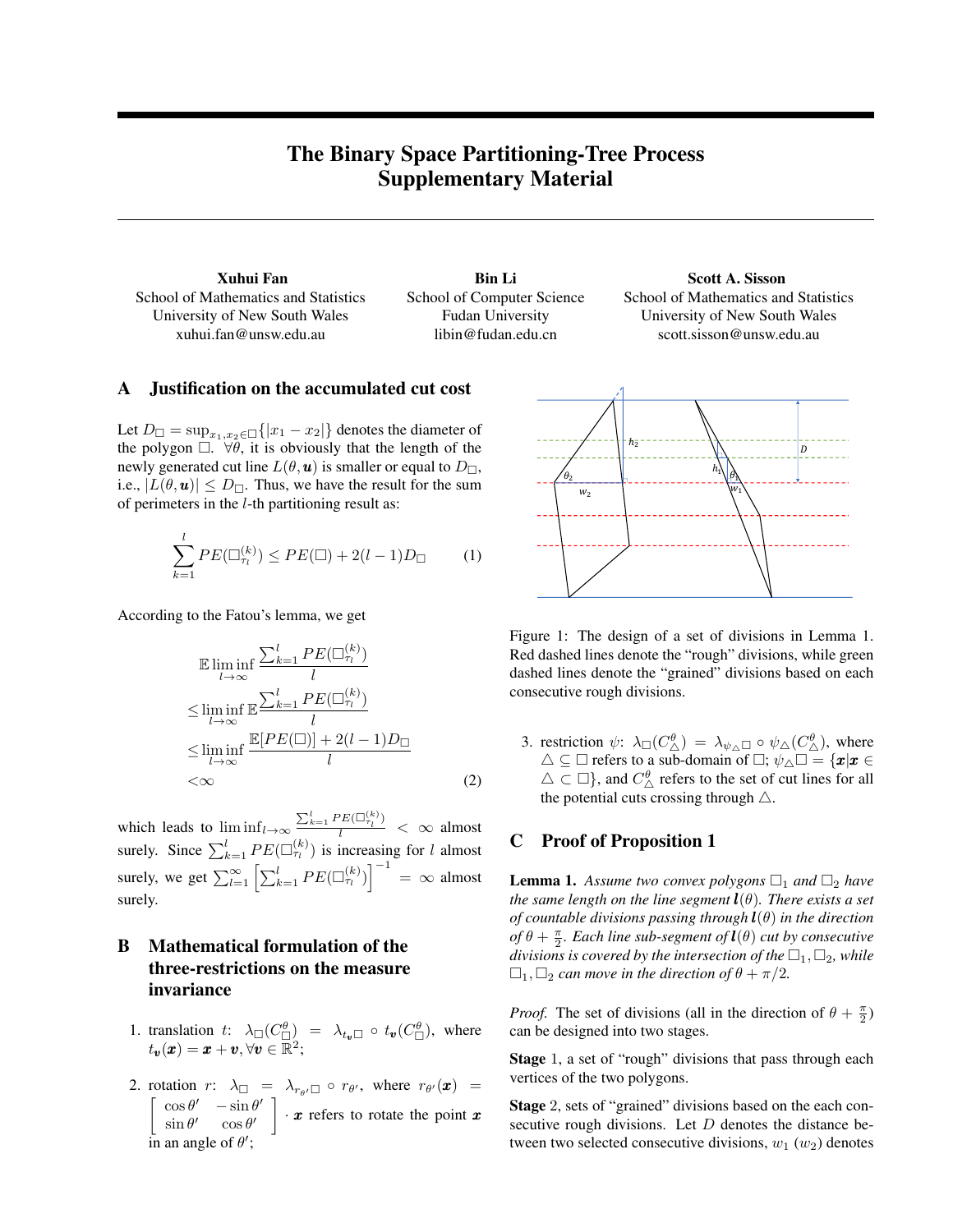# The Binary Space Partitioning-Tree Process Supplementary Material

School of Mathematics and Statistics University of New South Wales xuhui.fan@unsw.edu.au

Xuhui Fan **Bin Li** Bin Li Scott A. Sisson School of Computer Science Fudan University libin@fudan.edu.cn

School of Mathematics and Statistics University of New South Wales scott.sisson@unsw.edu.au

## A Justification on the accumulated cut cost

Let  $D_{\Box} = \sup_{x_1, x_2 \in \Box} \{|x_1 - x_2|\}$  denotes the diameter of the polygon  $\Box$ .  $\forall \theta$ , it is obviously that the length of the newly generated cut line  $L(\theta, \mathbf{u})$  is smaller or equal to  $D_{\square}$ , i.e.,  $|L(\theta, \mathbf{u})| \leq D_{\Box}$ . Thus, we have the result for the sum of perimeters in the  $l$ -th partitioning result as:

$$
\sum_{k=1}^{l} PE(\Box_{\tau_l}^{(k)}) \le PE(\Box) + 2(l-1)D_{\Box} \tag{1}
$$

According to the Fatou's lemma, we get

$$
\mathbb{E} \liminf_{l \to \infty} \frac{\sum_{k=1}^{l} PE(\Box_{\tau_l}^{(k)})}{l}
$$
\n
$$
\leq \liminf_{l \to \infty} \mathbb{E} \frac{\sum_{k=1}^{l} PE(\Box_{\tau_l}^{(k)})}{l}
$$
\n
$$
\leq \liminf_{l \to \infty} \frac{\mathbb{E}[PE(\Box)] + 2(l - 1)D_{\Box}}{l}
$$
\n
$$
< \infty
$$
\n(2)

which leads to  $\liminf_{l \to \infty} \frac{\sum_{k=1}^{l} PE(\Box^{(k)}_{\tau_l})}{l} < \infty$  almost surely. Since  $\sum_{k=1}^{l} PE(\Box_{\tau_l}^{(k)})$  is increasing for l almost surely, we get  $\sum_{l=1}^{\infty} \left[ \sum_{k=1}^{l} PE(\Box_{\tau_l}^{(k)}) \right]^{-1} = \infty$  almost surely.

## B Mathematical formulation of the three-restrictions on the measure invariance

- 1. translation t:  $\lambda_{\Box}(C^{\theta}_{\Box}) = \lambda_{t_{\mathbf{v}} \Box} \circ t_{\mathbf{v}}(C^{\theta}_{\Box})$ , where  $t_{\boldsymbol{v}}(\boldsymbol{x}) = \boldsymbol{x} + \boldsymbol{v}, \forall \boldsymbol{v} \in \mathbb{R}^2;$
- 2. rotation  $r: \lambda_{\square} = \lambda_{r_{\theta} \square} \circ r_{\theta}$ , where  $r_{\theta} \cdot (\boldsymbol{x}) =$  $\int \cos \theta' - \sin \theta'$  $\sin \theta'$   $\cos \theta'$  $\big] \cdot x$  refers to rotate the point x in an angle of  $\theta'$ ;



Figure 1: The design of a set of divisions in Lemma 1. Red dashed lines denote the "rough" divisions, while green dashed lines denote the "grained" divisions based on each consecutive rough divisions.

3. restriction  $\psi: \ \lambda_{\Box}(C^{\theta}_{\Delta}) = \lambda_{\psi_{\Delta} \Box} \circ \psi_{\Delta}(C^{\theta}_{\Delta})$ , where  $\triangle \subseteq \square$  refers to a sub-domain of  $\square$ ;  $\psi_{\triangle} \square = \{ \mathbf{x} | \mathbf{x} \in \square \}$  $\triangle \subset \square$ }, and  $C^{\theta}_{\triangle}$  refers to the set of cut lines for all the potential cuts crossing through  $\triangle$ .

## C Proof of Proposition 1

**Lemma 1.** Assume two convex polygons  $\Box_1$  and  $\Box_2$  have *the same length on the line segment*  $\mathbf{l}(\theta)$ *. There exists a set of countable divisions passing through* l(θ) *in the direction*  $\partial f \theta + \frac{\pi}{2}$ *. Each line sub-segment*  $\partial f \bm{l}(\theta)$  *cut by consecutive divisions is covered by the intersection of the*  $\Box_1$ ,  $\Box_2$ *, while*  $\Box_1$ ,  $\Box_2$  *can move in the direction of*  $\theta + \pi/2$ *.* 

*Proof.* The set of divisions (all in the direction of  $\theta + \frac{\pi}{2}$ ) can be designed into two stages.

Stage 1, a set of "rough" divisions that pass through each vertices of the two polygons.

Stage 2, sets of "grained" divisions based on the each consecutive rough divisions. Let  $D$  denotes the distance between two selected consecutive divisions,  $w_1$  ( $w_2$ ) denotes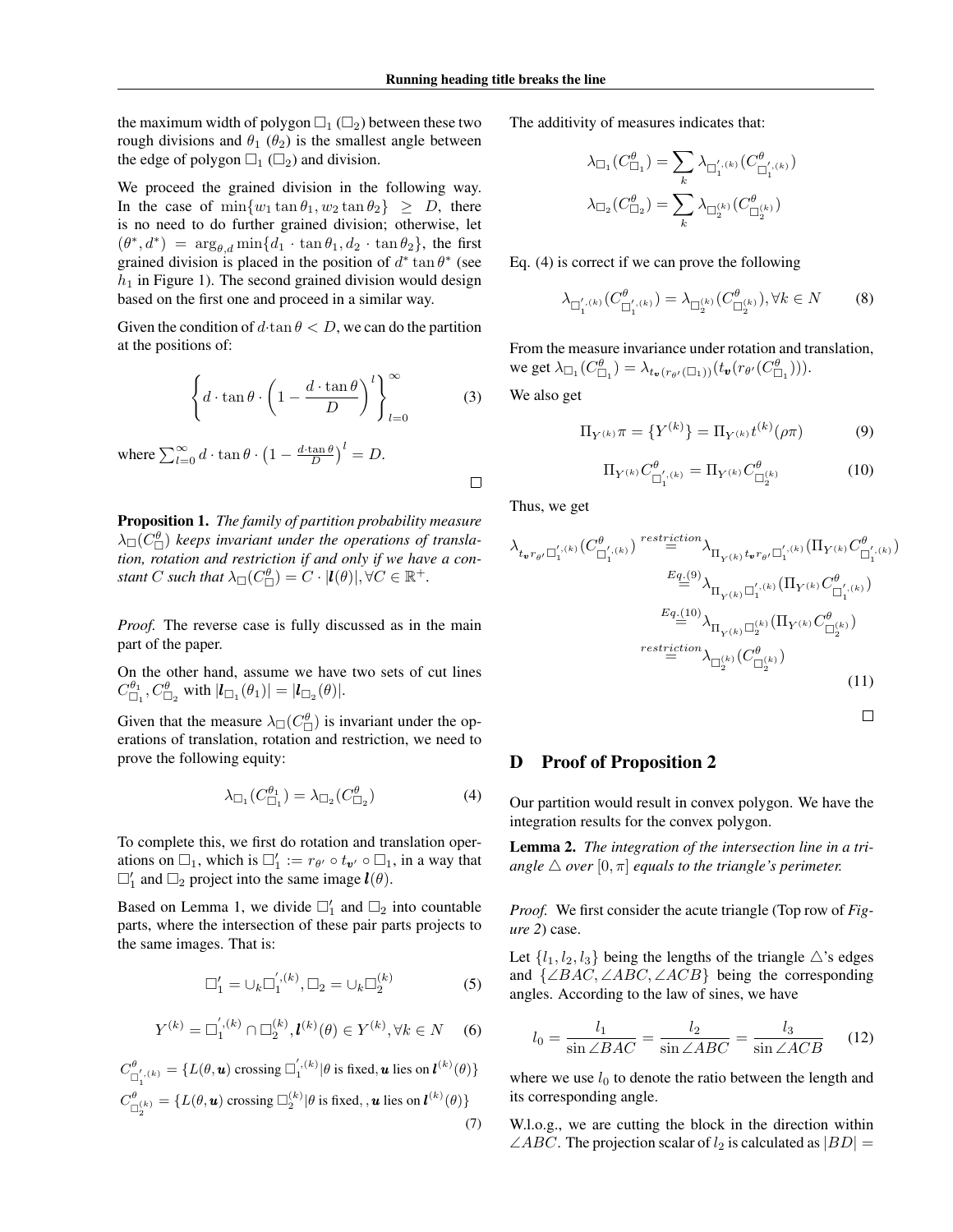the maximum width of polygon  $\Box_1$  ( $\Box_2$ ) between these two rough divisions and  $\theta_1$  ( $\theta_2$ ) is the smallest angle between the edge of polygon  $\Box_1$  ( $\Box_2$ ) and division.

We proceed the grained division in the following way. In the case of  $\min\{w_1 \tan \theta_1, w_2 \tan \theta_2\} \ge D$ , there is no need to do further grained division; otherwise, let  $(\theta^*, d^*) = \arg_{\theta, d} \min\{d_1 \cdot \tan \theta_1, d_2 \cdot \tan \theta_2\}$ , the first grained division is placed in the position of  $d^*$  tan  $\theta^*$  (see  $h_1$  in Figure 1). The second grained division would design based on the first one and proceed in a similar way.

Given the condition of  $d \cdot \tan \theta < D$ , we can do the partition at the positions of:

$$
\left\{ d \cdot \tan \theta \cdot \left( 1 - \frac{d \cdot \tan \theta}{D} \right)^l \right\}_{l=0}^{\infty} \tag{3}
$$

where  $\sum_{l=0}^{\infty} d \cdot \tan \theta \cdot \left(1 - \frac{d \cdot \tan \theta}{D}\right)^l = D$ .

Proposition 1. *The family of partition probability measure*  $\lambda_{\Box}(C_{\Box}^{\theta})$  keeps invariant under the operations of transla*tion, rotation and restriction if and only if we have a constant*  $C$  *such that*  $\lambda_{\Box}(C_{\Box}^{\theta}) = C \cdot |\boldsymbol{l}(\theta)|, \forall C \in \mathbb{R}^+.$ 

*Proof.* The reverse case is fully discussed as in the main part of the paper.

On the other hand, assume we have two sets of cut lines  $C_{\Box_1}^{\theta_1}, C_{\Box_2}^{\theta}$  with  $|\bm{l}_{\Box_1}(\theta_1)| = |\bm{l}_{\Box_2}(\theta)|$ .

Given that the measure  $\lambda_{\Box}(C_{\Box}^{\theta})$  is invariant under the operations of translation, rotation and restriction, we need to prove the following equity:

$$
\lambda_{\Box_1}(C^{\theta_1}_{\Box_1}) = \lambda_{\Box_2}(C^{\theta}_{\Box_2})
$$
\n(4)

To complete this, we first do rotation and translation operations on  $\Box_1$ , which is  $\Box'_1 := r_{\theta'} \circ t_{\pmb{v}'} \circ \Box_1$ , in a way that  $\square'_1$  and  $\square_2$  project into the same image  $\bm{l}(\theta)$ .

Based on Lemma 1, we divide  $\Box'_1$  and  $\Box_2$  into countable parts, where the intersection of these pair parts projects to the same images. That is:

$$
\Box_1' = \cup_k \Box_1^{',(k)}, \Box_2 = \cup_k \Box_2^{(k)} \tag{5}
$$

$$
Y^{(k)} = \Box_1^{',(k)} \cap \Box_2^{(k)}, \mathbf{l}^{(k)}(\theta) \in Y^{(k)}, \forall k \in N \quad (6)
$$

$$
C_{\square_1^{(k)}}^{\theta} = \{ L(\theta, \mathbf{u}) \text{ crossing } \square_1^{'(k)} | \theta \text{ is fixed, } \mathbf{u} \text{ lies on } l^{(k)}(\theta) \}
$$

$$
C_{\square_2^{(k)}}^{\theta} = \{ L(\theta, \mathbf{u}) \text{ crossing } \square_2^{(k)} | \theta \text{ is fixed, } \mathbf{u} \text{ lies on } l^{(k)}(\theta) \}
$$

$$
(7)
$$

The additivity of measures indicates that:

$$
\lambda_{\Box_1}(C^\theta_{\Box_1}) = \sum_k \lambda_{\Box_1^{'},(k)}(C^\theta_{\Box_1^{'},(k)})
$$

$$
\lambda_{\Box_2}(C^\theta_{\Box_2}) = \sum_k \lambda_{\Box_2^{(k)}}(C^\theta_{\Box_2^{(k)}})
$$

Eq. (4) is correct if we can prove the following

$$
\lambda_{\Box_1^{', (k)}}(C_{\Box_1^{', (k)}}^{\theta}) = \lambda_{\Box_2^{(k)}}(C_{\Box_2^{(k)}}^{\theta}), \forall k \in N
$$
 (8)

From the measure invariance under rotation and translation, we get  $\lambda_{\Box_1}(C_{\Box_1}^{\theta}) = \lambda_{t_{\mathbf{v}}(r_{\theta'}(\Box_1))}(t_{\mathbf{v}}(r_{\theta'}(C_{\Box_1}^{\theta}))).$ We also get

$$
\Pi_{Y^{(k)}} \pi = \{ Y^{(k)} \} = \Pi_{Y^{(k)}} t^{(k)} (\rho \pi) \tag{9}
$$

$$
\Pi_{Y^{(k)}} C^{\theta}_{\Box_1^{', (k)}} = \Pi_{Y^{(k)}} C^{\theta}_{\Box_2^{(k)}} \tag{10}
$$

Thus, we get

 $\Box$ 

$$
\lambda_{t_{\boldsymbol{v}}r_{\boldsymbol{\theta}'}\square_{1}^{'}(k)}(C_{\square_{1}^{'},(k)}^{\boldsymbol{\theta}})^{restriction} \stackrel{\text{restriction}}{=} \lambda_{\Pi_{Y^{(k)}}t_{\boldsymbol{v}}r_{\boldsymbol{\theta}'}\square_{1}^{'}(k)}(\Pi_{Y^{(k)}}C_{\square_{1}^{'},(k)}^{\boldsymbol{\theta}}))
$$
\n
$$
\stackrel{E_{q}(9)}{=} \lambda_{\Pi_{Y^{(k)}}\square_{1}^{'}(k)}(\Pi_{Y^{(k)}}C_{\square_{1}^{'},(k)}^{\boldsymbol{\theta}})
$$
\n
$$
\stackrel{E_{q}(10)}{=} \lambda_{\Pi_{Y^{(k)}}\square_{2}^{(k)}}(\Pi_{Y^{(k)}}C_{\square_{2}^{(k)}}^{\boldsymbol{\theta}})
$$
\n
$$
\stackrel{\text{restriction}}{=} \lambda_{\square_{2}^{(k)}}(C_{\square_{2}^{(k)}}^{\boldsymbol{\theta}})
$$
\n
$$
(11)
$$

#### D Proof of Proposition 2

Our partition would result in convex polygon. We have the integration results for the convex polygon.

Lemma 2. *The integration of the intersection line in a triangle*  $\triangle$  *over*  $[0, \pi]$  *equals to the triangle's perimeter.* 

*Proof.* We first consider the acute triangle (Top row of *Figure 2*) case.

Let  $\{l_1, l_2, l_3\}$  being the lengths of the triangle  $\triangle$ 's edges and  $\{\angle BAC, \angle ABC, \angle ACB\}$  being the corresponding angles. According to the law of sines, we have

$$
l_0 = \frac{l_1}{\sin \angle BAC} = \frac{l_2}{\sin \angle ABC} = \frac{l_3}{\sin \angle ACB} \tag{12}
$$

where we use  $l_0$  to denote the ratio between the length and its corresponding angle.

W.l.o.g., we are cutting the block in the direction within  $\angle ABC$ . The projection scalar of  $l_2$  is calculated as  $|BD| =$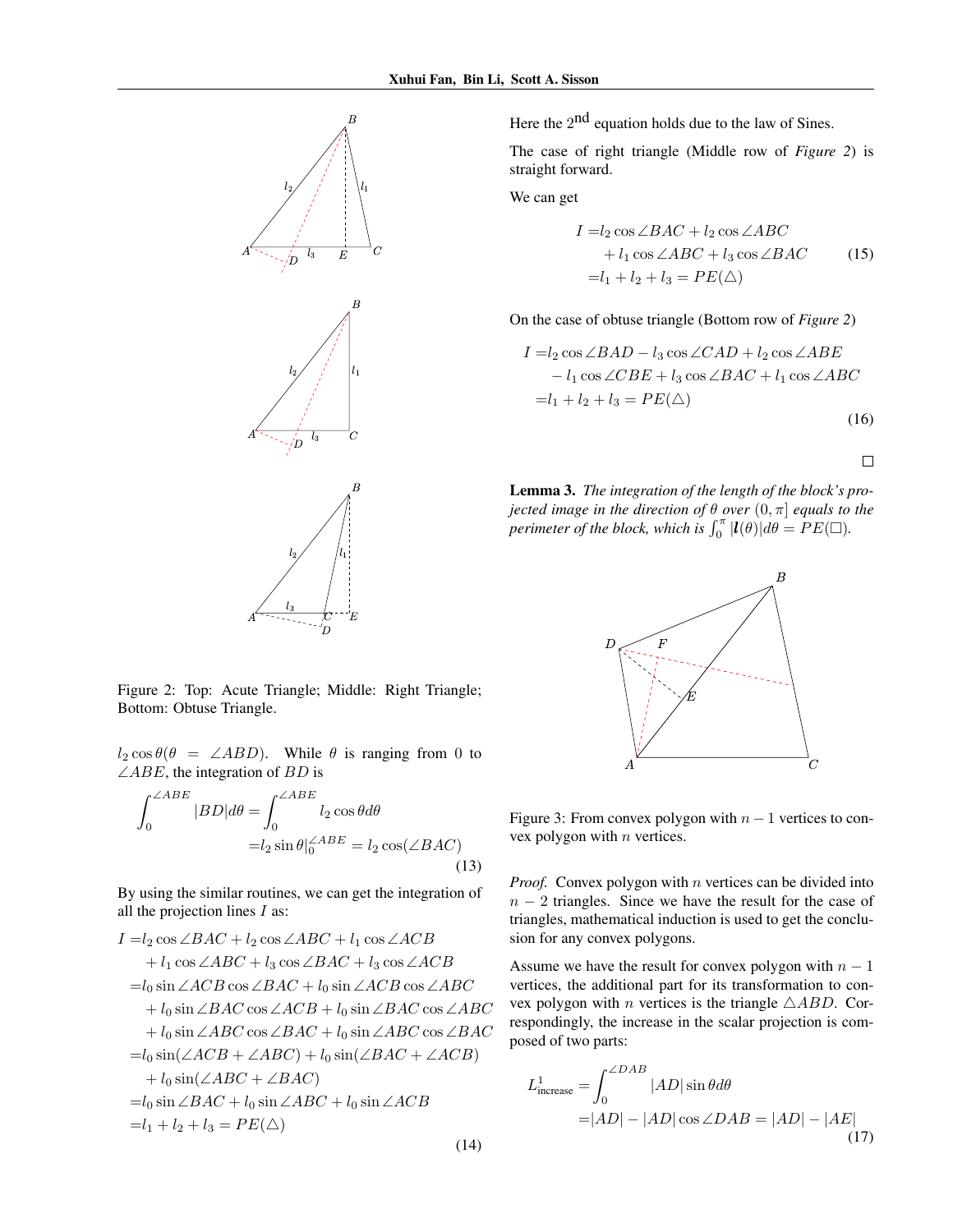

Figure 2: Top: Acute Triangle; Middle: Right Triangle; Bottom: Obtuse Triangle.

 $l_2 \cos \theta (\theta = \angle ABD)$ . While  $\theta$  is ranging from 0 to  $\angle ABE$ , the integration of BD is

$$
\int_0^{\angle ABE} |BD| d\theta = \int_0^{\angle ABE} l_2 \cos \theta d\theta
$$

$$
= l_2 \sin \theta \vert_0^{\angle ABE} = l_2 \cos(\angle BAC)
$$
(13)

By using the similar routines, we can get the integration of all the projection lines  $I$  as:

$$
I = l_2 \cos \angle BAC + l_2 \cos \angle ABC + l_1 \cos \angle ACB
$$
  
+  $l_1 \cos \angle ABC + l_3 \cos \angle BAC + l_3 \cos \angle ACB$   
=  $l_0 \sin \angle ACB \cos \angle BAC + l_0 \sin \angle ACB \cos \angle ABC$   
+  $l_0 \sin \angle BAC \cos \angle ACB + l_0 \sin \angle BAC \cos \angle ABC$   
+  $l_0 \sin \angle ABC \cos \angle BAC + l_0 \sin \angle ABC \cos \angle BAC$   
=  $l_0 \sin (\angle ACB + \angle ABC) + l_0 \sin (\angle BAC + \angle ACB)$   
+  $l_0 \sin (\angle ABC + \angle BAC)$   
=  $l_0 \sin \angle BAC + l_0 \sin \angle ABC + l_0 \sin \angle ACB$   
=  $l_1 + l_2 + l_3 = PE(\triangle)$ 

Here the  $2<sup>nd</sup>$  equation holds due to the law of Sines.

The case of right triangle (Middle row of *Figure 2*) is straight forward.

We can get

$$
I = l_2 \cos \angle BAC + l_2 \cos \angle ABC + l_1 \cos \angle ABC + l_3 \cos \angle BAC
$$
 (15)  
=l<sub>1</sub> + l<sub>2</sub> + l<sub>3</sub> = PE( $\triangle$ )

On the case of obtuse triangle (Bottom row of *Figure 2*)

$$
I = l_2 \cos \angle BAD - l_3 \cos \angle CAD + l_2 \cos \angle ABE
$$
  
\n
$$
-l_1 \cos \angle CBE + l_3 \cos \angle BAC + l_1 \cos \angle ABC
$$
  
\n
$$
= l_1 + l_2 + l_3 = PE(\triangle)
$$
 (16)

 $\Box$ 

Lemma 3. *The integration of the length of the block's projected image in the direction of*  $\theta$  *over*  $(0, \pi]$  *equals to the perimeter of the block, which is*  $\int_0^{\pi} |l(\theta)| d\theta = PE(\Box)$ .



Figure 3: From convex polygon with  $n - 1$  vertices to convex polygon with  $n$  vertices.

*Proof.* Convex polygon with  $n$  vertices can be divided into  $n - 2$  triangles. Since we have the result for the case of triangles, mathematical induction is used to get the conclusion for any convex polygons.

Assume we have the result for convex polygon with  $n - 1$ vertices, the additional part for its transformation to convex polygon with *n* vertices is the triangle  $\triangle ABD$ . Correspondingly, the increase in the scalar projection is composed of two parts:

$$
L_{\text{increase}}^1 = \int_0^{\angle DAB} |AD| \sin \theta d\theta
$$
  
=|AD| - |AD| cos  $\angle DAB$  = |AD| - |AE| (17)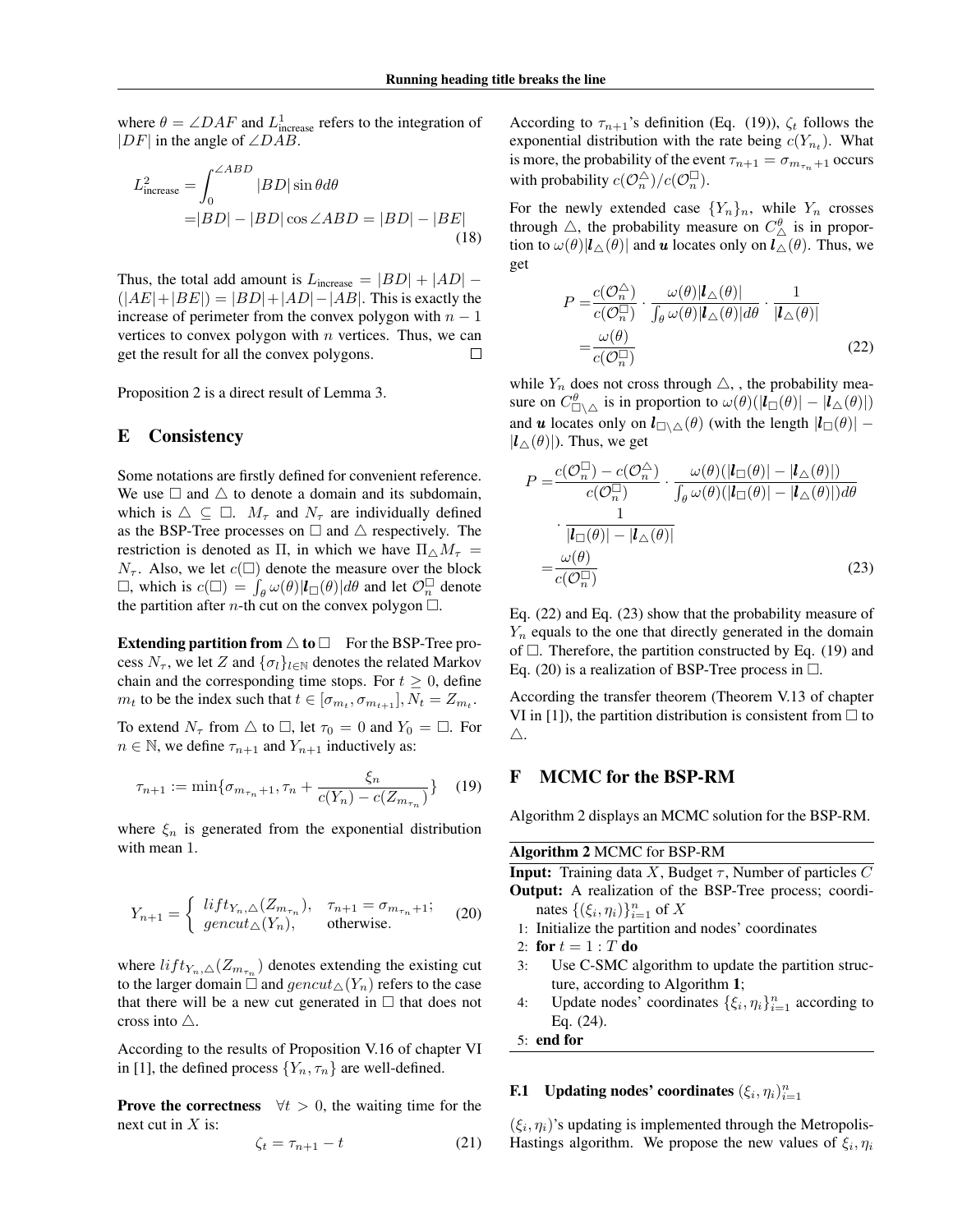where  $\theta = \angle DAF$  and  $L^1_{\text{increase}}$  refers to the integration of  $|DF|$  in the angle of  $\angle DAB$ .

$$
L_{\text{increase}}^2 = \int_0^{\angle ABD} |BD| \sin \theta d\theta
$$
  
=|BD| - |BD| \cos \angle ABD = |BD| - |BE| (18)

Thus, the total add amount is  $L_{\text{increase}} = |BD| + |AD| (|AE|+|BE|) = |BD|+|AD|-|AB|$ . This is exactly the increase of perimeter from the convex polygon with  $n - 1$ vertices to convex polygon with  $n$  vertices. Thus, we can get the result for all the convex polygons.  $\Box$ 

Proposition 2 is a direct result of Lemma 3.

### E Consistency

Some notations are firstly defined for convenient reference. We use  $\Box$  and  $\triangle$  to denote a domain and its subdomain, which is  $\triangle \subseteq \square$ .  $M_{\tau}$  and  $N_{\tau}$  are individually defined as the BSP-Tree processes on  $\Box$  and  $\triangle$  respectively. The restriction is denoted as Π, in which we have  $\Pi_{\wedge} M_{\tau} =$  $N_{\tau}$ . Also, we let  $c(\square)$  denote the measure over the block  $\Box$ , which is  $c(\Box) = \int_{\theta} \omega(\theta) |l_{\Box}(\theta)| d\theta$  and let  $\mathcal{O}_n^{\Box}$  denote the partition after *n*-th cut on the convex polygon  $\Box$ .

**Extending partition from**  $\triangle$  **to**  $\Box$  For the BSP-Tree process  $N_{\tau}$ , we let Z and  $\{\sigma_l\}_{l\in\mathbb{N}}$  denotes the related Markov chain and the corresponding time stops. For  $t \geq 0$ , define  $m_t$  to be the index such that  $t \in [\sigma_{m_t}, \sigma_{m_{t+1}}], N_t = Z_{m_t}.$ 

To extend  $N_{\tau}$  from  $\triangle$  to  $\Box$ , let  $\tau_0 = 0$  and  $Y_0 = \Box$ . For  $n \in \mathbb{N}$ , we define  $\tau_{n+1}$  and  $Y_{n+1}$  inductively as:

$$
\tau_{n+1} := \min\{\sigma_{m_{\tau_n}+1}, \tau_n + \frac{\xi_n}{c(Y_n) - c(Z_{m_{\tau_n}})}\} \quad (19)
$$

where  $\xi_n$  is generated from the exponential distribution with mean 1.

$$
Y_{n+1} = \begin{cases} \n\left\{\n\begin{aligned}\n\int_{T_n}^{T_n} f(t) \, d\mu_{\tau_n}, & \tau_{n+1} = \sigma_{m_{\tau_n}+1}; \\
\sigma_{\tau_n} & \text{otherwise.}\n\end{aligned}\n\end{cases} \tag{20}
$$

where  $lift_{Y_n,\triangle}(Z_{m_{\tau_n}})$  denotes extending the existing cut to the larger domain  $\Box$  and  $gencut_{\triangle}(Y_n)$  refers to the case that there will be a new cut generated in  $\Box$  that does not cross into  $\triangle$ .

According to the results of Proposition V.16 of chapter VI in [1], the defined process  $\{Y_n, \tau_n\}$  are well-defined.

**Prove the correctness**  $\forall t > 0$ , the waiting time for the next cut in  $X$  is:

$$
\zeta_t = \tau_{n+1} - t \tag{21}
$$

According to  $\tau_{n+1}$ 's definition (Eq. (19)),  $\zeta_t$  follows the exponential distribution with the rate being  $c(Y_{n_t})$ . What is more, the probability of the event  $\tau_{n+1} = \sigma_{m_{\tau_n}+1}$  occurs with probability  $c(\mathcal{O}_n^{\triangle})/c(\mathcal{O}_n^{\square})$ .

For the newly extended case  ${Y_n}_n$ , while  $Y_n$  crosses through  $\triangle$ , the probability measure on  $C^{\theta}_{\triangle}$  is in proportion to  $\omega(\theta)|\mathbf{l}_{\Delta}(\theta)|$  and u locates only on  $\mathbf{l}_{\Delta}(\theta)$ . Thus, we get

$$
P = \frac{c(\mathcal{O}_n^{\Delta})}{c(\mathcal{O}_n^{\Box})} \cdot \frac{\omega(\theta)|\mathbf{l}_{\Delta}(\theta)|}{\int_{\theta} \omega(\theta)|\mathbf{l}_{\Delta}(\theta)|d\theta} \cdot \frac{1}{|\mathbf{l}_{\Delta}(\theta)|} = \frac{\omega(\theta)}{c(\mathcal{O}_n^{\Box})}
$$
(22)

while  $Y_n$  does not cross through  $\triangle$ , , the probability measure on  $C^{\theta}_{\Box \triangle}$  is in proportion to  $\omega(\theta)(|\bm{l}_{\Box}(\theta)| - |\bm{l}_{\triangle}(\theta)|)$ and **u** locates only on  $\mathbf{l}_{\square\setminus\triangle}(\theta)$  (with the length  $|\mathbf{l}_{\square}(\theta)|$  –  $|\boldsymbol{l}_{\Delta}(\theta)|$ ). Thus, we get

$$
P = \frac{c(\mathcal{O}_n^{\Box}) - c(\mathcal{O}_n^{\triangle})}{c(\mathcal{O}_n^{\Box})} \cdot \frac{\omega(\theta)(|\bm{l}_{\Box}(\theta)| - |\bm{l}_{\triangle}(\theta)|)}{\int_{\theta} \omega(\theta)(|\bm{l}_{\Box}(\theta)| - |\bm{l}_{\triangle}(\theta)|) d\theta}
$$

$$
= \frac{1}{\mu_{\Box}(\theta)| - |\bm{l}_{\triangle}(\theta)|} \tag{23}
$$

Eq. (22) and Eq. (23) show that the probability measure of  $Y_n$  equals to the one that directly generated in the domain of  $\Box$ . Therefore, the partition constructed by Eq. (19) and Eq. (20) is a realization of BSP-Tree process in  $\Box$ .

According the transfer theorem (Theorem V.13 of chapter VI in [1]), the partition distribution is consistent from  $\Box$  to  $\triangle$ .

#### F MCMC for the BSP-RM

Algorithm 2 displays an MCMC solution for the BSP-RM.

#### Algorithm 2 MCMC for BSP-RM

**Input:** Training data X, Budget  $\tau$ , Number of particles C Output: A realization of the BSP-Tree process; coordinates  $\{(\xi_i, \eta_i)\}_{i=1}^n$  of X

- 1: Initialize the partition and nodes' coordinates
- 2: for  $t = 1 : T$  do
- 3: Use C-SMC algorithm to update the partition structure, according to Algorithm 1;
- 4: Update nodes' coordinates  $\{\xi_i, \eta_i\}_{i=1}^n$  according to Eq. (24).
- 5: end for

## **F.1** Updating nodes' coordinates  $(\xi_i, \eta_i)_{i=1}^n$

 $(\xi_i, \eta_i)$ 's updating is implemented through the Metropolis-Hastings algorithm. We propose the new values of  $\xi_i, \eta_i$